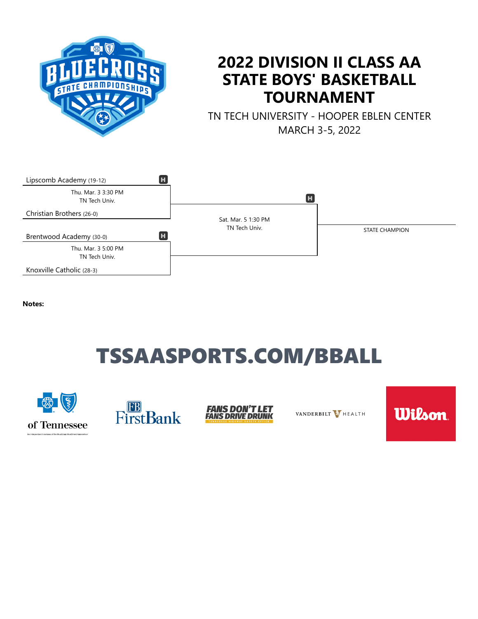

## **2022 DIVISION II CLASS AA STATE BOYS' BASKETBALL TOURNAMENT**

TN TECH UNIVERSITY - HOOPER EBLEN CENTER MARCH 3-5, 2022



**Notes:**

## TSSAASPORTS.COM/BBALL







VANDERBILT V HEALTH

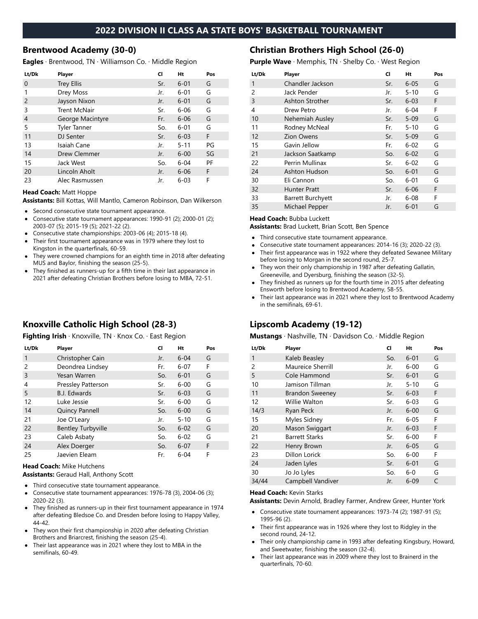#### **2022 DIVISION II CLASS AA STATE BOYS' BASKETBALL TOURNAMENT**

#### **Brentwood Academy (30-0)**

**Eagles** · Brentwood, TN · Williamson Co. · Middle Region

| Lt/Dk          | Player              | CI  | Ht       | Pos |
|----------------|---------------------|-----|----------|-----|
| $\mathbf 0$    | <b>Trey Ellis</b>   | Sr. | $6 - 01$ | G   |
| 1              | Drey Moss           | Jr. | $6 - 01$ | G   |
| $\overline{2}$ | Jayson Nixon        | Jr. | $6 - 01$ | G   |
| 3              | <b>Trent McNair</b> | Sr. | $6 - 06$ | G   |
| 4              | George Macintyre    | Fr. | $6 - 06$ | G   |
| 5              | <b>Tyler Tanner</b> | So. | $6 - 01$ | G   |
| 11             | DJ Senter           | Sr. | $6 - 03$ | F   |
| 13             | Isaiah Cane         | Jr. | $5 - 11$ | PG  |
| 14             | Drew Clemmer        | Jr. | $6 - 00$ | SG  |
| 15             | Jack West           | So. | $6 - 04$ | PF  |
| 20             | Lincoln Aholt       | Jr. | $6 - 06$ | F   |
| 23             | Alec Rasmussen      | Jr. | $6 - 03$ | F   |

#### **Head Coach:** Matt Hoppe

**Assistants:** Bill Kottas, Will Mantlo, Cameron Robinson, Dan Wilkerson

- Second consecutive state tournament appearance.
- Consecutive state tournament appearances: 1990-91 (2); 2000-01 (2); 2003-07 (5); 2015-19 (5); 2021-22 (2).
- Consecutive state championships: 2003-06 (4); 2015-18 (4).
- Their first tournament appearance was in 1979 where they lost to Kingston in the quarterfinals, 60-59.
- They were crowned champions for an eighth time in 2018 after defeating MUS and Baylor, finishing the season (25-5).
- They finished as runners-up for a fifth time in their last appearance in 2021 after defeating Christian Brothers before losing to MBA, 72-51.

## **Knoxville Catholic High School (28-3)**

**Fighting Irish** · Knoxville, TN · Knox Co. · East Region

| Lt/Dk | Player                    | CI  | Ht       | Pos |
|-------|---------------------------|-----|----------|-----|
| 1     | Christopher Cain          | Jr. | $6 - 04$ | G   |
| 2     | Deondrea Lindsey          | Fr. | $6 - 07$ | F   |
| 3     | Yesan Warren              | So. | $6 - 01$ | G   |
| 4     | Pressley Patterson        | Sr. | $6 - 00$ | G   |
| 5     | <b>B.J. Edwards</b>       | Sr. | $6 - 03$ | G   |
| 12    | Luke Jessie               | Sr. | $6 - 00$ | G   |
| 14    | <b>Quincy Pannell</b>     | So. | $6 - 00$ | G   |
| 21    | Joe O'Leary               | Jr. | $5 - 10$ | G   |
| 22    | <b>Bentley Turbyville</b> | So. | $6 - 02$ | G   |
| 23    | Caleb Asbaty              | So. | $6 - 02$ | G   |
| 24    | Alex Doerger              | So. | $6 - 07$ | F   |
| 25    | Jaevien Eleam             | Fr. | $6 - 04$ | F   |

**Head Coach:** Mike Hutchens

**Assistants:** Geraud Hall, Anthony Scott

- Third consecutive state tournament appearance.
- Consecutive state tournament appearances: 1976-78 (3), 2004-06 (3); 2020-22 (3).
- They finished as runners-up in their first tournament appearance in 1974 after defeating Bledsoe Co. and Dresden before losing to Happy Valley, 44-42.
- They won their first championship in 2020 after defeating Christian Brothers and Briarcrest, finishing the season (25-4).
- Their last appearance was in 2021 where they lost to MBA in the semifinals, 60-49.

#### **Christian Brothers High School (26-0)**

**Purple Wave** · Memphis, TN · Shelby Co. · West Region

| Lt/Dk | Player               | CI  | Ht       | Pos |
|-------|----------------------|-----|----------|-----|
| 1     | Chandler Jackson     | Sr. | $6 - 05$ | G   |
| 2     | Jack Pender          | Jr. | $5 - 10$ | G   |
| 3     | Ashton Strother      | Sr. | $6 - 03$ | F   |
| 4     | Drew Petro           | Jr. | $6 - 04$ | F   |
| 10    | Nehemiah Ausley      | Sr. | $5 - 09$ | G   |
| 11    | Rodney McNeal        | Fr. | $5 - 10$ | G   |
| 12    | <b>Zion Owens</b>    | Sr. | $5 - 09$ | G   |
| 15    | Gavin Jellow         | Fr. | $6 - 02$ | G   |
| 21    | Jackson Saatkamp     | So. | $6 - 02$ | G   |
| 22    | Perrin Mullinax      | Sr. | $6 - 02$ | G   |
| 24    | <b>Ashton Hudson</b> | So. | $6 - 01$ | G   |
| 30    | Eli Cannon           | So. | $6 - 01$ | G   |
| 32    | <b>Hunter Pratt</b>  | Sr. | $6 - 06$ | F   |
| 33    | Barrett Burchyett    | Jr. | $6 - 08$ | F   |
| 35    | Michael Pepper       | Jr. | $6 - 01$ | G   |

#### **Head Coach:** Bubba Luckett

**Assistants:** Brad Luckett, Brian Scott, Ben Spence

- Third consecutive state tournament appearance.
- Consecutive state tournament appearances: 2014-16 (3); 2020-22 (3).
- Their first appearance was in 1922 where they defeated Sewanee Military before losing to Morgan in the second round, 25-7.
- They won their only championship in 1987 after defeating Gallatin, Greeneville, and Dyersburg, finishing the season (32-5).
- They finished as runners up for the fourth time in 2015 after defeating Ensworth before losing to Brentwood Academy, 58-55.
- Their last appearance was in 2021 where they lost to Brentwood Academy in the semifinals, 69-61.

### **Lipscomb Academy (19-12)**

**Mustangs** · Nashville, TN · Davidson Co. · Middle Region

| Lt/Dk | Player                 | CI  | Ht       | Pos |
|-------|------------------------|-----|----------|-----|
| 1     | Kaleb Beasley          | So. | $6 - 01$ | G   |
| 2     | Maureice Sherrill      | Jr. | $6 - 00$ | G   |
| 5     | Cole Hammond           | Sr. | $6 - 01$ | G   |
| 10    | Jamison Tillman        | Jr. | $5 - 10$ | G   |
| 11    | <b>Brandon Sweeney</b> | Sr. | $6 - 03$ | F   |
| 12    | Willie Walton          | Sr. | $6 - 03$ | G   |
| 14/3  | Ryan Peck              | Jr. | $6 - 00$ | G   |
| 15    | Myles Sidney           | Fr. | $6 - 05$ | F   |
| 20    | Mason Swiggart         | Jr. | $6 - 03$ | F   |
| 21    | <b>Barrett Starks</b>  | Sr. | $6 - 00$ | F   |
| 22    | Henry Brown            | Jr. | $6 - 05$ | G   |
| 23    | Dillon Lorick          | So. | $6 - 00$ | F   |
| 24    | Jaden Lyles            | Sr. | $6 - 01$ | G   |
| 30    | Jo Jo Lyles            | So. | $6-0$    | G   |
| 34/44 | Campbell Vandiver      | Jr. | $6 - 09$ | C   |

#### **Head Coach:** Kevin Starks

**Assistants:** Devin Arnold, Bradley Farmer, Andrew Greer, Hunter York

- Consecutive state tournament appearances: 1973-74 (2); 1987-91 (5);  $\bullet$ 1995-96 (2).
- $\bullet$ Their first appearance was in 1926 where they lost to Ridgley in the second round, 24-12.
- Their only championship came in 1993 after defeating Kingsbury, Howard, and Sweetwater, finishing the season (32-4).
- Their last appearance was in 2009 where they lost to Brainerd in the quarterfinals, 70-60.